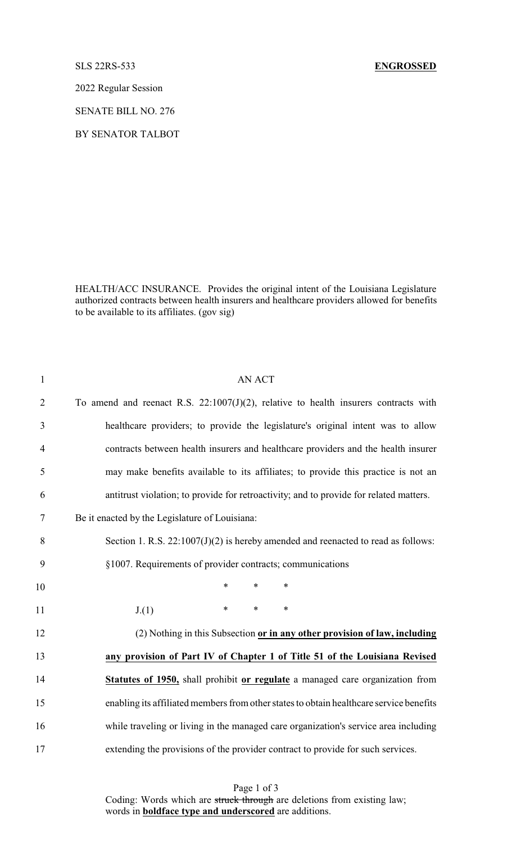## SLS 22RS-533 **ENGROSSED**

2022 Regular Session

SENATE BILL NO. 276

BY SENATOR TALBOT

HEALTH/ACC INSURANCE. Provides the original intent of the Louisiana Legislature authorized contracts between health insurers and healthcare providers allowed for benefits to be available to its affiliates. (gov sig)

| $\mathbf{1}$   | <b>AN ACT</b>                                                                           |
|----------------|-----------------------------------------------------------------------------------------|
| $\overline{2}$ | To amend and reenact R.S. $22:1007(J)(2)$ , relative to health insurers contracts with  |
| 3              | healthcare providers; to provide the legislature's original intent was to allow         |
| $\overline{4}$ | contracts between health insurers and healthcare providers and the health insurer       |
| 5              | may make benefits available to its affiliates; to provide this practice is not an       |
| 6              | antitrust violation; to provide for retroactivity; and to provide for related matters.  |
| 7              | Be it enacted by the Legislature of Louisiana:                                          |
| 8              | Section 1. R.S. $22:1007(J)(2)$ is hereby amended and reenacted to read as follows:     |
| 9              | §1007. Requirements of provider contracts; communications                               |
| 10             | *<br>$\ast$<br>$\ast$                                                                   |
| 11             | $\ast$<br>$\ast$<br>$\ast$<br>J(1)                                                      |
| 12             | (2) Nothing in this Subsection or in any other provision of law, including              |
| 13             | any provision of Part IV of Chapter 1 of Title 51 of the Louisiana Revised              |
| 14             | Statutes of 1950, shall prohibit or regulate a managed care organization from           |
| 15             | enabling its affiliated members from other states to obtain healthcare service benefits |
| 16             | while traveling or living in the managed care organization's service area including     |
| 17             | extending the provisions of the provider contract to provide for such services.         |

Page 1 of 3 Coding: Words which are struck through are deletions from existing law; words in **boldface type and underscored** are additions.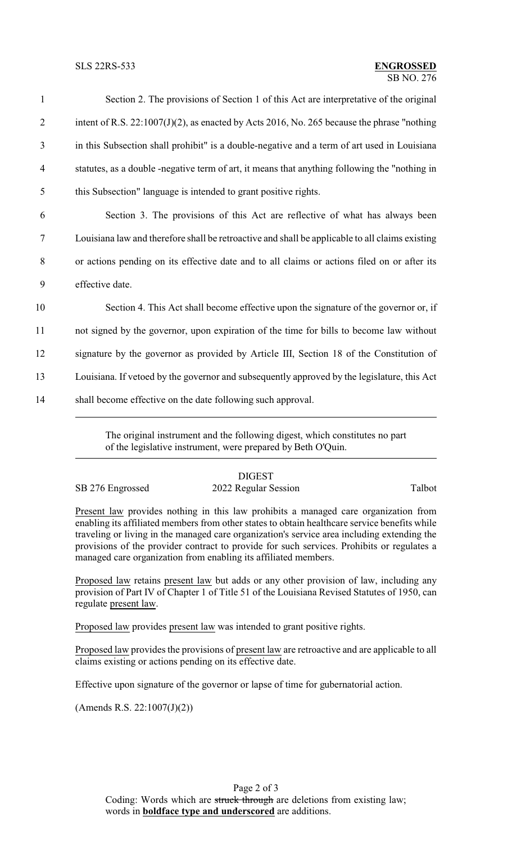| $\mathbf{1}$   | Section 2. The provisions of Section 1 of this Act are interpretative of the original           |
|----------------|-------------------------------------------------------------------------------------------------|
| $\overline{2}$ | intent of R.S. 22:1007(J)(2), as enacted by Acts 2016, No. 265 because the phrase "nothing      |
| 3              | in this Subsection shall prohibit" is a double-negative and a term of art used in Louisiana     |
| $\overline{4}$ | statutes, as a double -negative term of art, it means that anything following the "nothing in   |
| 5              | this Subsection" language is intended to grant positive rights.                                 |
| 6              | Section 3. The provisions of this Act are reflective of what has always been                    |
| $\tau$         | Louisiana law and therefore shall be retroactive and shall be applicable to all claims existing |
| 8              | or actions pending on its effective date and to all claims or actions filed on or after its     |
| 9              | effective date.                                                                                 |
| 10             | Section 4. This Act shall become effective upon the signature of the governor or, if            |
| 11             | not signed by the governor, upon expiration of the time for bills to become law without         |
| 12             | signature by the governor as provided by Article III, Section 18 of the Constitution of         |
| 13             | Louisiana. If vetoed by the governor and subsequently approved by the legislature, this Act     |
| 14             | shall become effective on the date following such approval.                                     |

The original instrument and the following digest, which constitutes no part of the legislative instrument, were prepared by Beth O'Quin.

**DIGEST** SB 276 Engrossed 2022 Regular Session Talbot

Present law provides nothing in this law prohibits a managed care organization from enabling its affiliated members from other states to obtain healthcare service benefits while traveling or living in the managed care organization's service area including extending the provisions of the provider contract to provide for such services. Prohibits or regulates a managed care organization from enabling its affiliated members.

Proposed law retains present law but adds or any other provision of law, including any provision of Part IV of Chapter 1 of Title 51 of the Louisiana Revised Statutes of 1950, can regulate present law.

Proposed law provides present law was intended to grant positive rights.

Proposed law provides the provisions of present law are retroactive and are applicable to all claims existing or actions pending on its effective date.

Effective upon signature of the governor or lapse of time for gubernatorial action.

 $(Amends R.S. 22:1007(J)(2))$